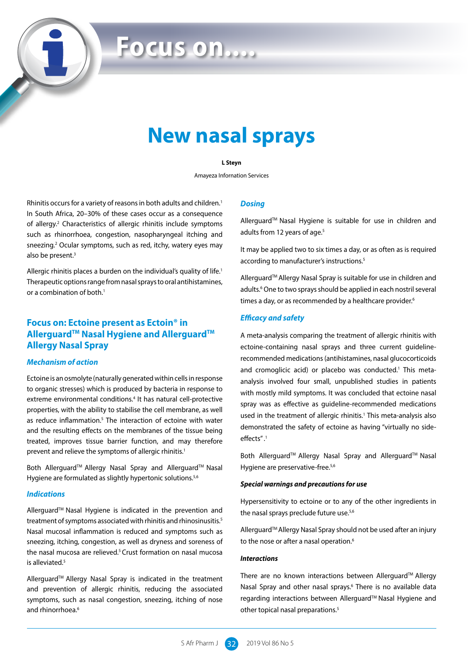# **Focus on....**

# **New nasal sprays**

#### **L Steyn**

Amayeza Infornation Services

Rhinitis occurs for a variety of reasons in both adults and children.<sup>1</sup> In South Africa, 20–30% of these cases occur as a consequence of allergy.<sup>2</sup> Characteristics of allergic rhinitis include symptoms such as rhinorrhoea, congestion, nasopharyngeal itching and sneezing.<sup>2</sup> Ocular symptoms, such as red, itchy, watery eyes may also be present.<sup>3</sup>

Allergic rhinitis places a burden on the individual's quality of life.<sup>1</sup> Therapeutic options range from nasal sprays to oral antihistamines, or a combination of both.<sup>1</sup>

## **Focus on: Ectoine present as Ectoin® in AllerguardTM Nasal Hygiene and AllerguardTM Allergy Nasal Spray**

#### *Mechanism of action*

Ectoine is an osmolyte (naturally generated within cells in response to organic stresses) which is produced by bacteria in response to extreme environmental conditions.<sup>4</sup> It has natural cell-protective properties, with the ability to stabilise the cell membrane, as well as reduce inflammation.<sup>5</sup> The interaction of ectoine with water and the resulting effects on the membranes of the tissue being treated, improves tissue barrier function, and may therefore prevent and relieve the symptoms of allergic rhinitis.<sup>1</sup>

Both Allerguard™ Allergy Nasal Spray and Allerguard™ Nasal Hygiene are formulated as slightly hypertonic solutions.<sup>5,6</sup>

#### *Indications*

Allerguard™ Nasal Hygiene is indicated in the prevention and treatment of symptoms associated with rhinitis and rhinosinusitis.<sup>5</sup> Nasal mucosal inflammation is reduced and symptoms such as sneezing, itching, congestion, as well as dryness and soreness of the nasal mucosa are relieved.<sup>5</sup> Crust formation on nasal mucosa is alleviated.<sup>5</sup>

Allerguard™ Allergy Nasal Spray is indicated in the treatment and prevention of allergic rhinitis, reducing the associated symptoms, such as nasal congestion, sneezing, itching of nose and rhinorrhoea.<sup>6</sup>

#### *Dosing*

Allerguard™ Nasal Hygiene is suitable for use in children and adults from 12 years of age.<sup>5</sup>

It may be applied two to six times a day, or as often as is required according to manufacturer's instructions.<sup>5</sup>

Allerguard<sup>™</sup> Allergy Nasal Spray is suitable for use in children and adults.<sup>6</sup> One to two sprays should be applied in each nostril several times a day, or as recommended by a healthcare provider.<sup>6</sup>

#### *Efficacy and safety*

A meta-analysis comparing the treatment of allergic rhinitis with ectoine-containing nasal sprays and three current guidelinerecommended medications (antihistamines, nasal glucocorticoids and cromoglicic acid) or placebo was conducted.<sup>1</sup> This metaanalysis involved four small, unpublished studies in patients with mostly mild symptoms. It was concluded that ectoine nasal spray was as effective as guideline-recommended medications used in the treatment of allergic rhinitis.<sup>1</sup> This meta-analysis also demonstrated the safety of ectoine as having "virtually no sideeffects" .1

Both Allerguard<sup>™</sup> Allergy Nasal Spray and Allerguard™ Nasal Hygiene are preservative-free.<sup>5,6</sup>

#### *Special warnings and precautions for use*

Hypersensitivity to ectoine or to any of the other ingredients in the nasal sprays preclude future use.<sup>5,6</sup>

Allerguard™ Allergy Nasal Spray should not be used after an injury to the nose or after a nasal operation.<sup>6</sup>

#### *Interactions*

There are no known interactions between Allerguard™ Allergy Nasal Spray and other nasal sprays.<sup>6</sup> There is no available data regarding interactions between Allerguard™ Nasal Hygiene and other topical nasal preparations.5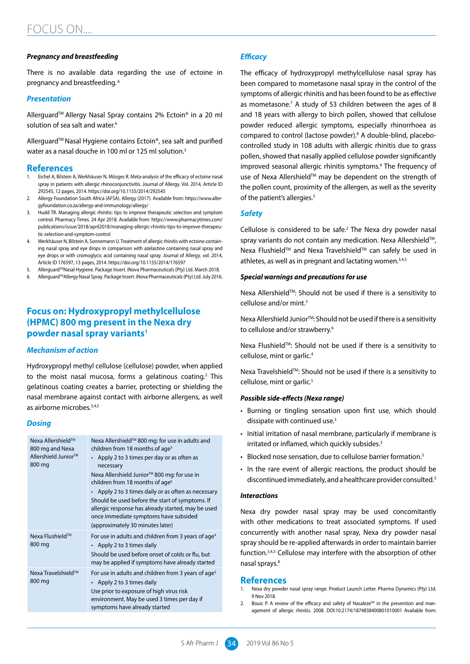#### *Pregnancy and breastfeeding*

There is no available data regarding the use of ectoine in pregnancy and breastfeeding. 6

#### *Presentation*

Allerguard™ Allergy Nasal Spray contains 2% Ectoin® in a 20 ml solution of sea salt and water.<sup>6</sup>

Allerguard<sup>™</sup> Nasal Hygiene contains Ectoin®, sea salt and purified water as a nasal douche in 100 ml or 125 ml solution.<sup>5</sup>

#### **References**

- 1. Eichel A, Bilstein A, Werkhäuser N, Mösges R. Meta-analysis of the efficacy of ectoine nasal spray in patients with allergic rhinoconjunctivitis. Journal of Allergy. Vol. 2014, Article ID 292545, 12 pages, 2014. https://doi.org/10.1155/2014/292545
- 2. Allergy Foundation South Africa (AFSA). Allergy (2017). Available from: https://www.allergyfoundation.co.za/allergy-and-immunology/allergy/
- 3. Hudd TR. Managing allergic rhinitis: tips to improve therapeutic selection and symptom control. Pharmacy Times. 24 Apr 2018. Available from: https://www.pharmacytimes.com/ publications/issue/2018/april2018/managing-allergic-rhinitis-tips-to-improve-therapeutic-selection-and-symptom-control
- 4. Werkhäuser N, Bilstein A, Sonnemann U. Treatment of allergic rhinitis with ectoine containing nasal spray and eye drops in comparison with azelastine containing nasal spray and eye drops or with cromoglycic acid containing nasal spray. Journal of Allergy*.* vol. 2014, Article ID 176597, 13 pages, 2014. https://doi.org/10.1155/2014/176597
- 5. Allerguard™Nasal Hygiene. Package Insert. iNova Pharmaceuticals (Pty) Ltd. March 2018.
- 6. AllerguardTMAllergy Nasal Spray. Package Insert. iNova Pharmaceuticals (Pty) Ltd. July 2016.

### **Focus on: Hydroxypropyl methylcellulose (HPMC) 800 mg present in the Nexa dry powder nasal spray variants1**

#### *Mechanism of action*

Hydroxypropyl methyl cellulose (cellulose) powder, when applied to the moist nasal mucosa, forms a gelatinous coating.<sup>2</sup> This gelatinous coating creates a barrier, protecting or shielding the nasal membrane against contact with airborne allergens, as well as airborne microbes.3,4,5

#### *Dosing*

| Nexa Allershield™<br>800 mg and Nexa<br>Allershield Junior <sup>™</sup><br>800 mg | Nexa Allershield™ 800 mg: for use in adults and<br>children from 18 months of age <sup>3</sup><br>Apply 2 to 3 times per day or as often as<br>necessary<br>Nexa Allershield Junior <sup>™</sup> 800 mg: for use in<br>children from 18 months of age <sup>6</sup><br>• Apply 2 to 3 times daily or as often as necessary<br>Should be used before the start of symptoms. If<br>allergic response has already started, may be used<br>once immediate symptoms have subsided<br>(approximately 30 minutes later) |
|-----------------------------------------------------------------------------------|-----------------------------------------------------------------------------------------------------------------------------------------------------------------------------------------------------------------------------------------------------------------------------------------------------------------------------------------------------------------------------------------------------------------------------------------------------------------------------------------------------------------|
| Nexa Flushield™<br>800 mg                                                         | For use in adults and children from 3 years of age <sup>4</sup><br>• Apply 2 to 3 times daily<br>Should be used before onset of colds or flu, but<br>may be applied if symptoms have already started                                                                                                                                                                                                                                                                                                            |
| Nexa Travelshield™<br>800 mg                                                      | For use in adults and children from 3 years of age <sup>5</sup><br>• Apply 2 to 3 times daily<br>Use prior to exposure of high virus risk<br>environment. May be used 3 times per day if<br>symptoms have already started                                                                                                                                                                                                                                                                                       |

#### *Efficacy*

The efficacy of hydroxypropyl methylcellulose nasal spray has been compared to mometasone nasal spray in the control of the symptoms of allergic rhinitis and has been found to be as effective as mometasone.<sup>7</sup> A study of 53 children between the ages of 8 and 18 years with allergy to birch pollen, showed that cellulose powder reduced allergic symptoms, especially rhinorrhoea as compared to control (lactose powder).<sup>8</sup> A double-blind, placebocontrolled study in 108 adults with allergic rhinitis due to grass pollen, showed that nasally applied cellulose powder significantly improved seasonal allergic rhinitis symptoms.<sup>9</sup> The frequency of use of Nexa Allershield™ may be dependent on the strength of the pollen count, proximity of the allergen, as well as the severity of the patient's allergies.<sup>3</sup>

#### *Safety*

Cellulose is considered to be safe.<sup>2</sup> The Nexa dry powder nasal spray variants do not contain any medication. Nexa Allershield™, Nexa Flushield™ and Nexa Travelshield™ can safely be used in athletes, as well as in pregnant and lactating women.<sup>3,4,5</sup>

#### *Special warnings and precautions for use*

Nexa Allershield<sup>™</sup>: Should not be used if there is a sensitivity to cellulose and/or mint.3

Nexa Allershield Junior<sup>™</sup>: Should not be used if there is a sensitivity to cellulose and/or strawberry.6

Nexa Flushield™: Should not be used if there is a sensitivity to cellulose, mint or garlic.4

Nexa Travelshield™: Should not be used if there is a sensitivity to cellulose, mint or garlic.<sup>5</sup>

#### *Possible side-effects (Nexa range)*

- Burning or tingling sensation upon first use, which should dissipate with continued use.<sup>3</sup>
- Initial irritation of nasal membrane, particularly if membrane is irritated or inflamed, which quickly subsides.<sup>3</sup>
- Blocked nose sensation, due to cellulose barrier formation.<sup>3</sup>
- In the rare event of allergic reactions, the product should be discontinued immediately, and a healthcare provider consulted.<sup>3</sup>

#### *Interactions*

Nexa dry powder nasal spray may be used concomitantly with other medications to treat associated symptoms. If used concurrently with another nasal spray, Nexa dry powder nasal spray should be re-applied afterwards in order to maintain barrier function.3,4,5 Cellulose may interfere with the absorption of other nasal sprays.8

#### **References**

- Nexa dry powder nasal spray range. Product Launch Letter. Pharma Dynamics (Pty) Ltd. 9 Nov 2018.
- 2. Bouic P. A review of the efficacy and safety of Nasaleze™ in the prevention and management of allergic rhinitis. 2008. DOI:10.2174/1874838400801010001 Available from: